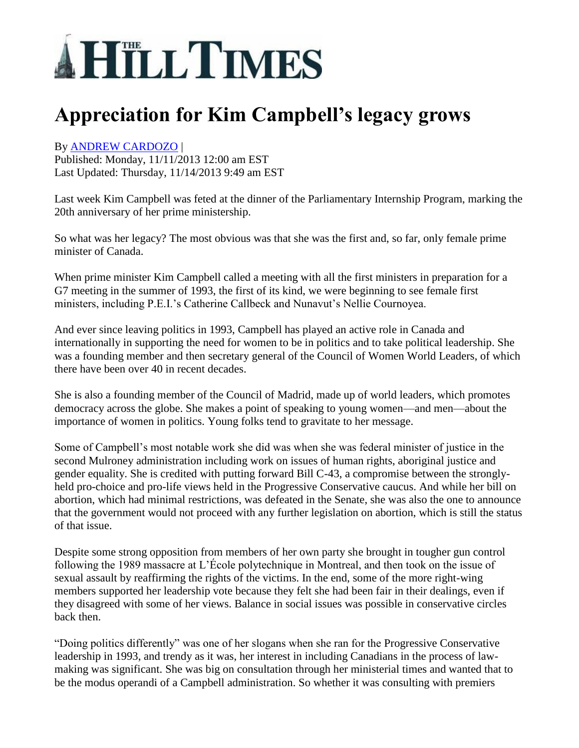## **AHTLLTIMES**

## **Appreciation for Kim Campbell's legacy grows**

## By [ANDREW CARDOZO](http://www.hilltimes.com/author/Andrew%20Cardozo) |

Published: Monday, 11/11/2013 12:00 am EST Last Updated: Thursday, 11/14/2013 9:49 am EST

Last week Kim Campbell was feted at the dinner of the Parliamentary Internship Program, marking the 20th anniversary of her prime ministership.

So what was her legacy? The most obvious was that she was the first and, so far, only female prime minister of Canada.

When prime minister Kim Campbell called a meeting with all the first ministers in preparation for a G7 meeting in the summer of 1993, the first of its kind, we were beginning to see female first ministers, including P.E.I.'s Catherine Callbeck and Nunavut's Nellie Cournoyea.

And ever since leaving politics in 1993, Campbell has played an active role in Canada and internationally in supporting the need for women to be in politics and to take political leadership. She was a founding member and then secretary general of the Council of Women World Leaders, of which there have been over 40 in recent decades.

She is also a founding member of the Council of Madrid, made up of world leaders, which promotes democracy across the globe. She makes a point of speaking to young women—and men—about the importance of women in politics. Young folks tend to gravitate to her message.

Some of Campbell's most notable work she did was when she was federal minister of justice in the second Mulroney administration including work on issues of human rights, aboriginal justice and gender equality. She is credited with putting forward Bill C-43, a compromise between the stronglyheld pro-choice and pro-life views held in the Progressive Conservative caucus. And while her bill on abortion, which had minimal restrictions, was defeated in the Senate, she was also the one to announce that the government would not proceed with any further legislation on abortion, which is still the status of that issue.

Despite some strong opposition from members of her own party she brought in tougher gun control following the 1989 massacre at L'École polytechnique in Montreal, and then took on the issue of sexual assault by reaffirming the rights of the victims. In the end, some of the more right-wing members supported her leadership vote because they felt she had been fair in their dealings, even if they disagreed with some of her views. Balance in social issues was possible in conservative circles back then.

"Doing politics differently" was one of her slogans when she ran for the Progressive Conservative leadership in 1993, and trendy as it was, her interest in including Canadians in the process of lawmaking was significant. She was big on consultation through her ministerial times and wanted that to be the modus operandi of a Campbell administration. So whether it was consulting with premiers